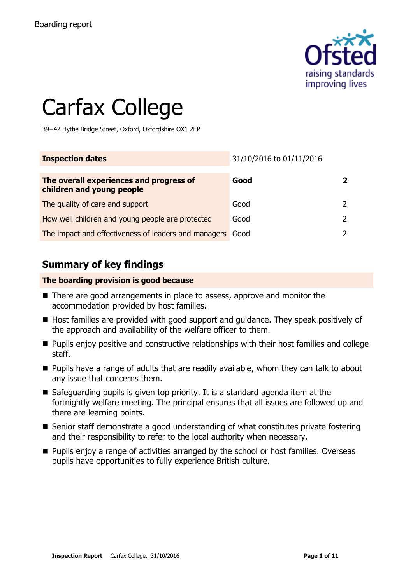

# Carfax College

39−42 Hythe Bridge Street, Oxford, Oxfordshire OX1 2EP

| <b>Inspection dates</b>                                              | 31/10/2016 to 01/11/2016 |   |
|----------------------------------------------------------------------|--------------------------|---|
| The overall experiences and progress of<br>children and young people | Good                     |   |
| The quality of care and support                                      | Good                     |   |
| How well children and young people are protected                     | Good                     | 2 |
| The impact and effectiveness of leaders and managers                 | Good                     |   |

## **Summary of key findings**

#### **The boarding provision is good because**

- There are good arrangements in place to assess, approve and monitor the accommodation provided by host families.
- Host families are provided with good support and guidance. They speak positively of the approach and availability of the welfare officer to them.
- **Pupils enjoy positive and constructive relationships with their host families and college** staff.
- $\blacksquare$  Pupils have a range of adults that are readily available, whom they can talk to about any issue that concerns them.
- Safeguarding pupils is given top priority. It is a standard agenda item at the fortnightly welfare meeting. The principal ensures that all issues are followed up and there are learning points.
- Senior staff demonstrate a good understanding of what constitutes private fostering and their responsibility to refer to the local authority when necessary.
- **Pupils enjoy a range of activities arranged by the school or host families. Overseas** pupils have opportunities to fully experience British culture.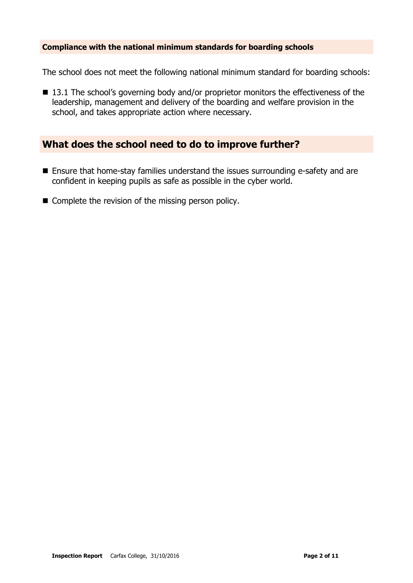#### **Compliance with the national minimum standards for boarding schools**

The school does not meet the following national minimum standard for boarding schools:

■ 13.1 The school's governing body and/or proprietor monitors the effectiveness of the leadership, management and delivery of the boarding and welfare provision in the school, and takes appropriate action where necessary.

### **What does the school need to do to improve further?**

- Ensure that home-stay families understand the issues surrounding e-safety and are confident in keeping pupils as safe as possible in the cyber world.
- Complete the revision of the missing person policy.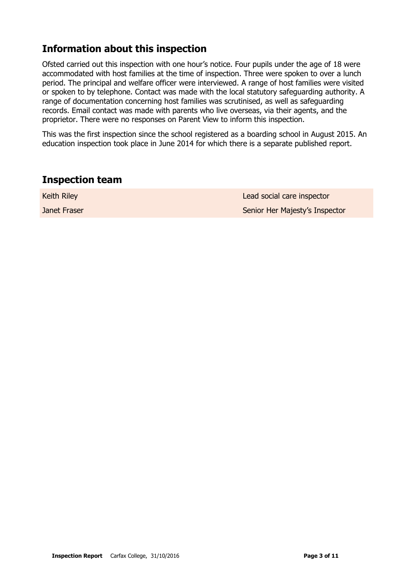# **Information about this inspection**

Ofsted carried out this inspection with one hour's notice. Four pupils under the age of 18 were accommodated with host families at the time of inspection. Three were spoken to over a lunch period. The principal and welfare officer were interviewed. A range of host families were visited or spoken to by telephone. Contact was made with the local statutory safeguarding authority. A range of documentation concerning host families was scrutinised, as well as safeguarding records. Email contact was made with parents who live overseas, via their agents, and the proprietor. There were no responses on Parent View to inform this inspection.

This was the first inspection since the school registered as a boarding school in August 2015. An education inspection took place in June 2014 for which there is a separate published report.

#### **Inspection team**

| <b>Keith Riley</b> | Lead social care inspector     |
|--------------------|--------------------------------|
| Janet Fraser       | Senior Her Majesty's Inspector |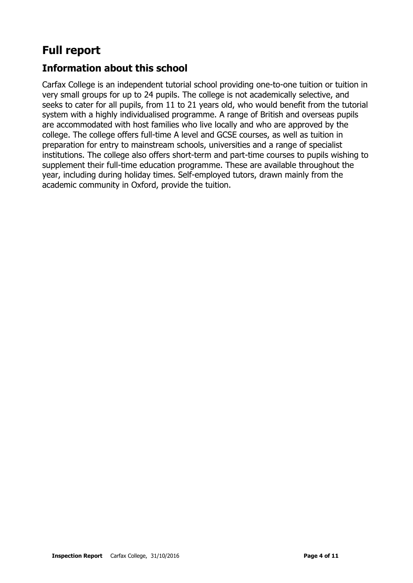# **Full report**

# **Information about this school**

Carfax College is an independent tutorial school providing one-to-one tuition or tuition in very small groups for up to 24 pupils. The college is not academically selective, and seeks to cater for all pupils, from 11 to 21 years old, who would benefit from the tutorial system with a highly individualised programme. A range of British and overseas pupils are accommodated with host families who live locally and who are approved by the college. The college offers full-time A level and GCSE courses, as well as tuition in preparation for entry to mainstream schools, universities and a range of specialist institutions. The college also offers short-term and part-time courses to pupils wishing to supplement their full-time education programme. These are available throughout the year, including during holiday times. Self-employed tutors, drawn mainly from the academic community in Oxford, provide the tuition.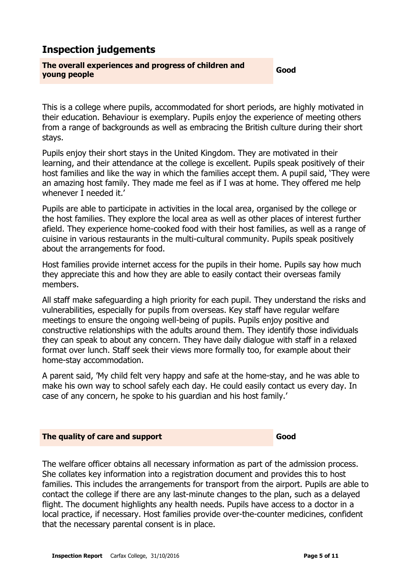# **Inspection judgements**

# **The overall experiences and progress of children and young people Good**

This is a college where pupils, accommodated for short periods, are highly motivated in their education. Behaviour is exemplary. Pupils enjoy the experience of meeting others from a range of backgrounds as well as embracing the British culture during their short stays.

Pupils enjoy their short stays in the United Kingdom. They are motivated in their learning, and their attendance at the college is excellent. Pupils speak positively of their host families and like the way in which the families accept them. A pupil said, 'They were an amazing host family. They made me feel as if I was at home. They offered me help whenever I needed it.'

Pupils are able to participate in activities in the local area, organised by the college or the host families. They explore the local area as well as other places of interest further afield. They experience home-cooked food with their host families, as well as a range of cuisine in various restaurants in the multi-cultural community. Pupils speak positively about the arrangements for food.

Host families provide internet access for the pupils in their home. Pupils say how much they appreciate this and how they are able to easily contact their overseas family members.

All staff make safeguarding a high priority for each pupil. They understand the risks and vulnerabilities, especially for pupils from overseas. Key staff have regular welfare meetings to ensure the ongoing well-being of pupils. Pupils enjoy positive and constructive relationships with the adults around them. They identify those individuals they can speak to about any concern. They have daily dialogue with staff in a relaxed format over lunch. Staff seek their views more formally too, for example about their home-stay accommodation.

A parent said, 'My child felt very happy and safe at the home-stay, and he was able to make his own way to school safely each day. He could easily contact us every day. In case of any concern, he spoke to his guardian and his host family.'

#### **The quality of care and support Good Good**

The welfare officer obtains all necessary information as part of the admission process. She collates key information into a registration document and provides this to host families. This includes the arrangements for transport from the airport. Pupils are able to contact the college if there are any last-minute changes to the plan, such as a delayed flight. The document highlights any health needs. Pupils have access to a doctor in a local practice, if necessary. Host families provide over-the-counter medicines, confident that the necessary parental consent is in place.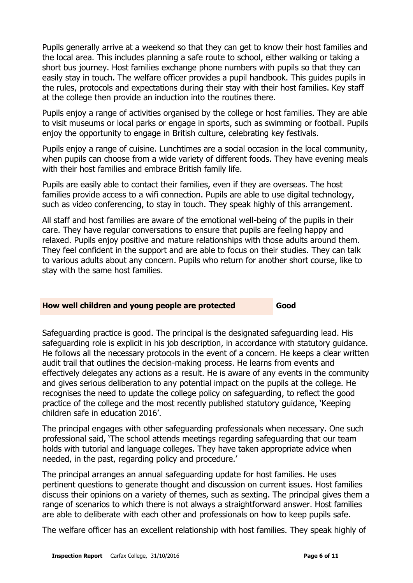Pupils generally arrive at a weekend so that they can get to know their host families and the local area. This includes planning a safe route to school, either walking or taking a short bus journey. Host families exchange phone numbers with pupils so that they can easily stay in touch. The welfare officer provides a pupil handbook. This guides pupils in the rules, protocols and expectations during their stay with their host families. Key staff at the college then provide an induction into the routines there.

Pupils enjoy a range of activities organised by the college or host families. They are able to visit museums or local parks or engage in sports, such as swimming or football. Pupils enjoy the opportunity to engage in British culture, celebrating key festivals.

Pupils enjoy a range of cuisine. Lunchtimes are a social occasion in the local community, when pupils can choose from a wide variety of different foods. They have evening meals with their host families and embrace British family life.

Pupils are easily able to contact their families, even if they are overseas. The host families provide access to a wifi connection. Pupils are able to use digital technology, such as video conferencing, to stay in touch. They speak highly of this arrangement.

All staff and host families are aware of the emotional well-being of the pupils in their care. They have regular conversations to ensure that pupils are feeling happy and relaxed. Pupils enjoy positive and mature relationships with those adults around them. They feel confident in the support and are able to focus on their studies. They can talk to various adults about any concern. Pupils who return for another short course, like to stay with the same host families.

#### **How well children and young people are protected <b>Good**

Safeguarding practice is good. The principal is the designated safeguarding lead. His safeguarding role is explicit in his job description, in accordance with statutory guidance. He follows all the necessary protocols in the event of a concern. He keeps a clear written audit trail that outlines the decision-making process. He learns from events and effectively delegates any actions as a result. He is aware of any events in the community and gives serious deliberation to any potential impact on the pupils at the college. He recognises the need to update the college policy on safeguarding, to reflect the good practice of the college and the most recently published statutory guidance, 'Keeping children safe in education 2016'.

The principal engages with other safeguarding professionals when necessary. One such professional said, 'The school attends meetings regarding safeguarding that our team holds with tutorial and language colleges. They have taken appropriate advice when needed, in the past, regarding policy and procedure.'

The principal arranges an annual safeguarding update for host families. He uses pertinent questions to generate thought and discussion on current issues. Host families discuss their opinions on a variety of themes, such as sexting. The principal gives them a range of scenarios to which there is not always a straightforward answer. Host families are able to deliberate with each other and professionals on how to keep pupils safe.

The welfare officer has an excellent relationship with host families. They speak highly of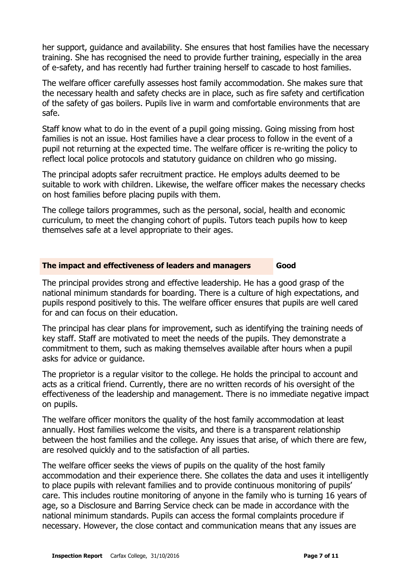her support, guidance and availability. She ensures that host families have the necessary training. She has recognised the need to provide further training, especially in the area of e-safety, and has recently had further training herself to cascade to host families.

The welfare officer carefully assesses host family accommodation. She makes sure that the necessary health and safety checks are in place, such as fire safety and certification of the safety of gas boilers. Pupils live in warm and comfortable environments that are safe.

Staff know what to do in the event of a pupil going missing. Going missing from host families is not an issue. Host families have a clear process to follow in the event of a pupil not returning at the expected time. The welfare officer is re-writing the policy to reflect local police protocols and statutory guidance on children who go missing.

The principal adopts safer recruitment practice. He employs adults deemed to be suitable to work with children. Likewise, the welfare officer makes the necessary checks on host families before placing pupils with them.

The college tailors programmes, such as the personal, social, health and economic curriculum, to meet the changing cohort of pupils. Tutors teach pupils how to keep themselves safe at a level appropriate to their ages.

#### **The impact and effectiveness of leaders and managers Good**

The principal provides strong and effective leadership. He has a good grasp of the national minimum standards for boarding. There is a culture of high expectations, and pupils respond positively to this. The welfare officer ensures that pupils are well cared for and can focus on their education.

The principal has clear plans for improvement, such as identifying the training needs of key staff. Staff are motivated to meet the needs of the pupils. They demonstrate a commitment to them, such as making themselves available after hours when a pupil asks for advice or guidance.

The proprietor is a regular visitor to the college. He holds the principal to account and acts as a critical friend. Currently, there are no written records of his oversight of the effectiveness of the leadership and management. There is no immediate negative impact on pupils.

The welfare officer monitors the quality of the host family accommodation at least annually. Host families welcome the visits, and there is a transparent relationship between the host families and the college. Any issues that arise, of which there are few, are resolved quickly and to the satisfaction of all parties.

The welfare officer seeks the views of pupils on the quality of the host family accommodation and their experience there. She collates the data and uses it intelligently to place pupils with relevant families and to provide continuous monitoring of pupils' care. This includes routine monitoring of anyone in the family who is turning 16 years of age, so a Disclosure and Barring Service check can be made in accordance with the national minimum standards. Pupils can access the formal complaints procedure if necessary. However, the close contact and communication means that any issues are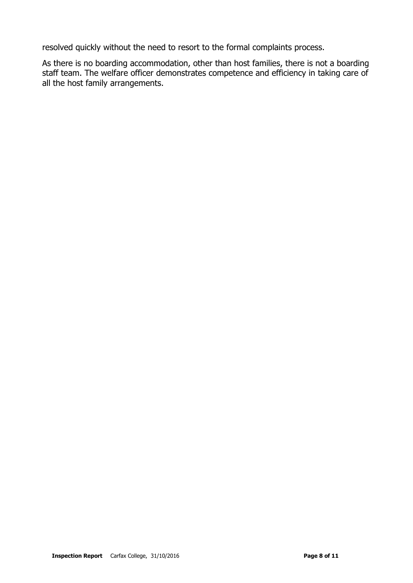resolved quickly without the need to resort to the formal complaints process.

As there is no boarding accommodation, other than host families, there is not a boarding staff team. The welfare officer demonstrates competence and efficiency in taking care of all the host family arrangements.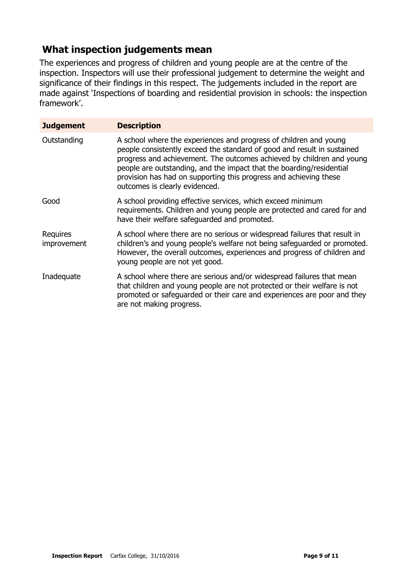## **What inspection judgements mean**

The experiences and progress of children and young people are at the centre of the inspection. Inspectors will use their professional judgement to determine the weight and significance of their findings in this respect. The judgements included in the report are made against 'Inspections of boarding and residential provision in schools: the inspection framework'.

| <b>Judgement</b>        | <b>Description</b>                                                                                                                                                                                                                                                                                                                                                                                   |
|-------------------------|------------------------------------------------------------------------------------------------------------------------------------------------------------------------------------------------------------------------------------------------------------------------------------------------------------------------------------------------------------------------------------------------------|
| Outstanding             | A school where the experiences and progress of children and young<br>people consistently exceed the standard of good and result in sustained<br>progress and achievement. The outcomes achieved by children and young<br>people are outstanding, and the impact that the boarding/residential<br>provision has had on supporting this progress and achieving these<br>outcomes is clearly evidenced. |
| Good                    | A school providing effective services, which exceed minimum<br>requirements. Children and young people are protected and cared for and<br>have their welfare safeguarded and promoted.                                                                                                                                                                                                               |
| Requires<br>improvement | A school where there are no serious or widespread failures that result in<br>children's and young people's welfare not being safeguarded or promoted.<br>However, the overall outcomes, experiences and progress of children and<br>young people are not yet good.                                                                                                                                   |
| Inadequate              | A school where there are serious and/or widespread failures that mean<br>that children and young people are not protected or their welfare is not<br>promoted or safeguarded or their care and experiences are poor and they<br>are not making progress.                                                                                                                                             |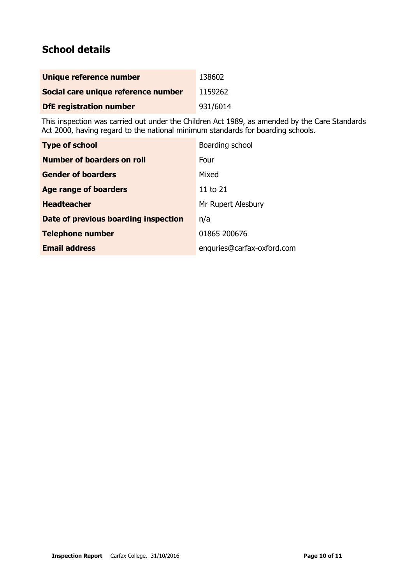# **School details**

| Unique reference number             | 138602   |
|-------------------------------------|----------|
| Social care unique reference number | 1159262  |
| <b>DfE registration number</b>      | 931/6014 |

This inspection was carried out under the Children Act 1989, as amended by the Care Standards Act 2000, having regard to the national minimum standards for boarding schools.

| <b>Type of school</b>                | Boarding school            |
|--------------------------------------|----------------------------|
| Number of boarders on roll           | Four                       |
| <b>Gender of boarders</b>            | Mixed                      |
| Age range of boarders                | 11 to 21                   |
| <b>Headteacher</b>                   | Mr Rupert Alesbury         |
| Date of previous boarding inspection | n/a                        |
| <b>Telephone number</b>              | 01865 200676               |
| <b>Email address</b>                 | enquries@carfax-oxford.com |